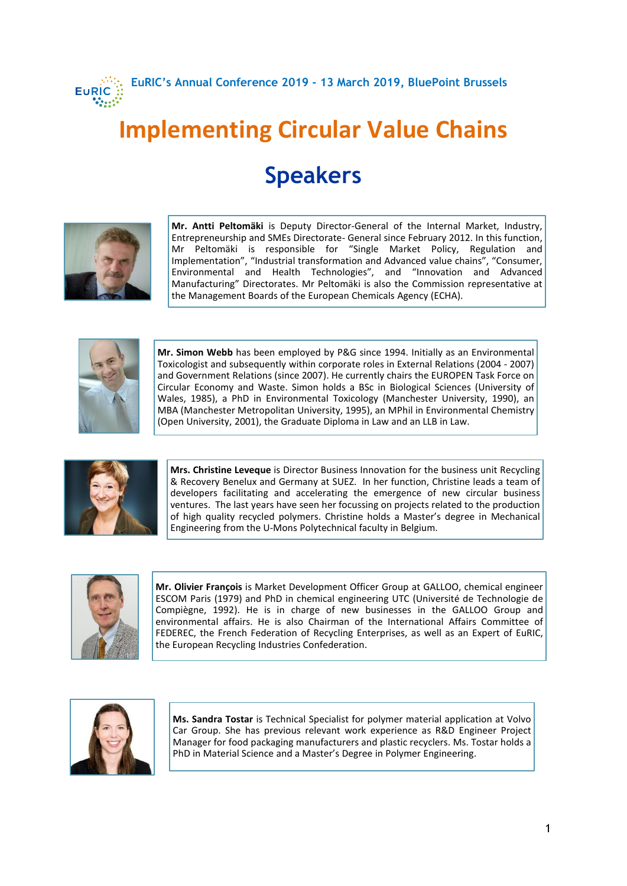

**EuRIC's Annual Conference 2019 - 13 March 2019, BluePoint Brussels**

## **Implementing Circular Value Chains Speakers**



**Mr. Antti Peltomäki** is Deputy Director-General of the Internal Market, Industry, Entrepreneurship and SMEs Directorate- General since February 2012. In this function, Mr Peltomäki is responsible for "Single Market Policy, Regulation and Implementation", "Industrial transformation and Advanced value chains", "Consumer, Environmental and Health Technologies", and "Innovation and Advanced Manufacturing" Directorates. Mr Peltomäki is also the Commission representative at the Management Boards of the European Chemicals Agency (ECHA).



**Mr. Simon Webb** has been employed by P&G since 1994. Initially as an Environmental Toxicologist and subsequently within corporate roles in External Relations (2004 - 2007) and Government Relations (since 2007). He currently chairs the EUROPEN Task Force on Circular Economy and Waste. Simon holds a BSc in Biological Sciences (University of Wales, 1985), a PhD in Environmental Toxicology (Manchester University, 1990), an MBA (Manchester Metropolitan University, 1995), an MPhil in Environmental Chemistry (Open University, 2001), the Graduate Diploma in Law and an LLB in Law.



**Mrs. Christine Leveque** is Director Business Innovation for the business unit Recycling & Recovery Benelux and Germany at SUEZ. In her function, Christine leads a team of developers facilitating and accelerating the emergence of new circular business ventures. The last years have seen her focussing on projects related to the production of high quality recycled polymers. Christine holds a Master's degree in Mechanical Engineering from the U-Mons Polytechnical faculty in Belgium.



**Mr. Olivier François** is Market Development Officer Group at GALLOO, chemical engineer ESCOM Paris (1979) and PhD in chemical engineering UTC (Université de Technologie de Compiègne, 1992). He is in charge of new businesses in the GALLOO Group and environmental affairs. He is also Chairman of the International Affairs Committee of FEDEREC, the French Federation of Recycling Enterprises, as well as an Expert of EuRIC, the European Recycling Industries Confederation.



**Ms. Sandra Tostar** is Technical Specialist for polymer material application at Volvo Car Group. She has previous relevant work experience as R&D Engineer Project Manager for food packaging manufacturers and plastic recyclers. Ms. Tostar holds a PhD in Material Science and a Master's Degree in Polymer Engineering.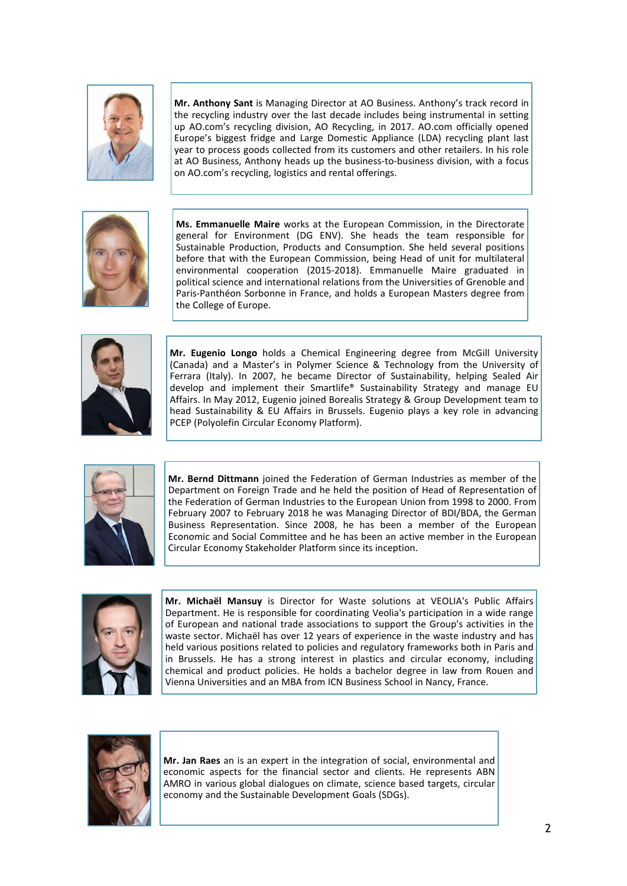

**Mr. Anthony Sant** is Managing Director at AO Business. Anthony's track record in the recycling industry over the last decade includes being instrumental in setting up AO.com's recycling division, AO Recycling, in 2017. AO.com officially opened Europe's biggest fridge and Large Domestic Appliance (LDA) recycling plant last year to process goods collected from its customers and other retailers. In his role at AO Business, Anthony heads up the business-to-business division, with a focus on AO.com's recycling, logistics and rental offerings.



**Ms. Emmanuelle Maire** works at the European Commission, in the Directorate general for Environment (DG ENV). She heads the team responsible for Sustainable Production, Products and Consumption. She held several positions before that with the European Commission, being Head of unit for multilateral environmental cooperation (2015-2018). Emmanuelle Maire graduated in political science and international relations from the Universities of Grenoble and Paris-Panthéon Sorbonne in France, and holds a European Masters degree from the College of Europe.



**Mr. Eugenio Longo** holds a Chemical Engineering degree from McGill University (Canada) and a Master's in Polymer Science & Technology from the University of Ferrara (Italy). In 2007, he became Director of Sustainability, helping Sealed Air develop and implement their Smartlife® Sustainability Strategy and manage EU Affairs. In May 2012, Eugenio joined Borealis Strategy & Group Development team to head Sustainability & EU Affairs in Brussels. Eugenio plays a key role in advancing PCEP (Polyolefin Circular Economy Platform).



**Mr. Bernd Dittmann** joined the Federation of German Industries as member of the Department on Foreign Trade and he held the position of Head of Representation of the Federation of German Industries to the European Union from 1998 to 2000. From February 2007 to February 2018 he was Managing Director of BDI/BDA, the German Business Representation. Since 2008, he has been a member of the European Economic and Social Committee and he has been an active member in the European Circular Economy Stakeholder Platform since its inception.



**Mr. Michaël Mansuy** is Director for Waste solutions at VEOLIA's Public Affairs Department. He is responsible for coordinating Veolia's participation in a wide range of European and national trade associations to support the Group's activities in the waste sector. Michaël has over 12 years of experience in the waste industry and has held various positions related to policies and regulatory frameworks both in Paris and in Brussels. He has a strong interest in plastics and circular economy, including chemical and product policies. He holds a bachelor degree in law from Rouen and Vienna Universities and an MBA from ICN Business School in Nancy, France.



**Mr. Jan Raes** an is an expert in the integration of social, environmental and economic aspects for the financial sector and clients. He represents ABN AMRO in various global dialogues on climate, science based targets, circular economy and the Sustainable Development Goals (SDGs).